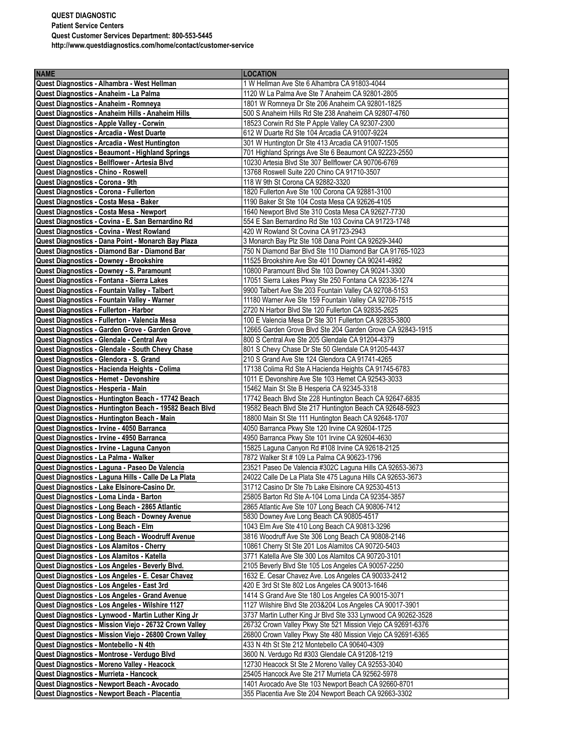## **QUEST DIAGNOSTIC Patient Service Centers Quest Customer Services Department: 800-553-5445 http://www.questdiagnostics.com/home/contact/customer-service**

| <b>NAME</b>                                                                                       | <b>LOCATION</b>                                                                                              |
|---------------------------------------------------------------------------------------------------|--------------------------------------------------------------------------------------------------------------|
| Quest Diagnostics - Alhambra - West Hellman                                                       | 1 W Hellman Ave Ste 6 Alhambra CA 91803-4044                                                                 |
| Quest Diagnostics - Anaheim - La Palma                                                            | 1120 W La Palma Ave Ste 7 Anaheim CA 92801-2805                                                              |
| Quest Diagnostics - Anaheim - Romneya                                                             | 1801 W Romneya Dr Ste 206 Anaheim CA 92801-1825                                                              |
| Quest Diagnostics - Anaheim Hills - Anaheim Hills                                                 | 500 S Anaheim Hills Rd Ste 238 Anaheim CA 92807-4760                                                         |
| Quest Diagnostics - Apple Valley - Corwin                                                         | 18523 Corwin Rd Ste P Apple Valley CA 92307-2300                                                             |
| Quest Diagnostics - Arcadia - West Duarte                                                         | 612 W Duarte Rd Ste 104 Arcadia CA 91007-9224                                                                |
|                                                                                                   |                                                                                                              |
| Quest Diagnostics - Arcadia - West Huntington                                                     | 301 W Huntington Dr Ste 413 Arcadia CA 91007-1505                                                            |
| Quest Diagnostics - Beaumont - Highland Springs<br>Quest Diagnostics - Bellflower - Artesia Blvd  | 701 Highland Springs Ave Ste 6 Beaumont CA 92223-2550<br>10230 Artesia Blvd Ste 307 Bellflower CA 90706-6769 |
| Quest Diagnostics - Chino - Roswell                                                               | 13768 Roswell Suite 220 Chino CA 91710-3507                                                                  |
| Quest Diagnostics - Corona - 9th                                                                  | 118 W 9th St Corona CA 92882-3320                                                                            |
| Quest Diagnostics - Corona - Fullerton                                                            | 1820 Fullerton Ave Ste 100 Corona CA 92881-3100                                                              |
| Quest Diagnostics - Costa Mesa - Baker                                                            | 1190 Baker St Ste 104 Costa Mesa CA 92626-4105                                                               |
| Quest Diagnostics - Costa Mesa - Newport                                                          | 1640 Newport Blvd Ste 310 Costa Mesa CA 92627-7730                                                           |
| Quest Diagnostics - Covina - E. San Bernardino Rd                                                 | 554 E San Bernardino Rd Ste 103 Covina CA 91723-1748                                                         |
| Quest Diagnostics - Covina - West Rowland                                                         | 420 W Rowland St Covina CA 91723-2943                                                                        |
| Quest Diagnostics - Dana Point - Monarch Bay Plaza                                                | 3 Monarch Bay Plz Ste 108 Dana Point CA 92629-3440                                                           |
| Quest Diagnostics - Diamond Bar - Diamond Bar                                                     | 750 N Diamond Bar Blvd Ste 110 Diamond Bar CA 91765-1023                                                     |
| Quest Diagnostics - Downey - Brookshire                                                           | 11525 Brookshire Ave Ste 401 Downey CA 90241-4982                                                            |
| Quest Diagnostics - Downey - S. Paramount                                                         | 10800 Paramount Blvd Ste 103 Downey CA 90241-3300                                                            |
| Quest Diagnostics - Fontana - Sierra Lakes                                                        | 17051 Sierra Lakes Pkwy Ste 250 Fontana CA 92336-1274                                                        |
| Quest Diagnostics - Fountain Valley - Talbert                                                     | 9900 Talbert Ave Ste 203 Fountain Valley CA 92708-5153                                                       |
| Quest Diagnostics - Fountain Valley - Warner                                                      | 11180 Warner Ave Ste 159 Fountain Valley CA 92708-7515                                                       |
| Quest Diagnostics - Fullerton - Harbor                                                            | 2720 N Harbor Blvd Ste 120 Fullerton CA 92835-2625                                                           |
| Quest Diagnostics - Fullerton - Valencia Mesa                                                     | 100 E Valencia Mesa Dr Ste 301 Fullerton CA 92835-3800                                                       |
| Quest Diagnostics - Garden Grove - Garden Grove                                                   | 12665 Garden Grove Blvd Ste 204 Garden Grove CA 92843-1915                                                   |
| Quest Diagnostics - Glendale - Central Ave                                                        | 800 S Central Ave Ste 205 Glendale CA 91204-4379                                                             |
| Quest Diagnostics - Glendale - South Chevy Chase                                                  | 801 S Chevy Chase Dr Ste 50 Glendale CA 91205-4437                                                           |
| Quest Diagnostics - Glendora - S. Grand                                                           | 210 S Grand Ave Ste 124 Glendora CA 91741-4265                                                               |
| Quest Diagnostics - Hacienda Heights - Colima                                                     | 17138 Colima Rd Ste A Hacienda Heights CA 91745-6783                                                         |
| Quest Diagnostics - Hemet - Devonshire                                                            | 1011 E Devonshire Ave Ste 103 Hemet CA 92543-3033                                                            |
| Quest Diagnostics - Hesperia - Main                                                               | 15462 Main St Ste B Hesperia CA 92345-3318                                                                   |
| Quest Diagnostics - Huntington Beach - 17742 Beach                                                | 17742 Beach Blvd Ste 228 Huntington Beach CA 92647-6835                                                      |
| Quest Diagnostics - Huntington Beach - 19582 Beach Blvd                                           | 19582 Beach Blvd Ste 217 Huntington Beach CA 92648-5923                                                      |
| Quest Diagnostics - Huntington Beach - Main                                                       | 18800 Main St Ste 111 Huntington Beach CA 92648-1707                                                         |
| Quest Diagnostics - Irvine - 4050 Barranca                                                        | 4050 Barranca Pkwy Ste 120 Irvine CA 92604-1725                                                              |
| Quest Diagnostics - Irvine - 4950 Barranca                                                        | 4950 Barranca Pkwy Ste 101 Irvine CA 92604-4630                                                              |
| Quest Diagnostics - Irvine - Laguna Canyon                                                        | 15825 Laguna Canyon Rd #108 Irvine CA 92618-2125                                                             |
| Quest Diagnostics - La Palma - Walker                                                             | 7872 Walker St # 109 La Palma CA 90623-1796                                                                  |
| Quest Diagnostics - Laguna - Paseo De Valencia                                                    | 23521 Paseo De Valencia #302C Laguna Hills CA 92653-3673                                                     |
| Quest Diagnostics - Laguna Hills - Calle De La Plata                                              | 24022 Calle De La Plata Ste 475 Laguna Hills CA 92653-3673                                                   |
| Quest Diagnostics - Lake Elsinore-Casino Dr.                                                      | 31712 Casino Dr Ste 7b Lake Elsinore CA 92530-4513                                                           |
| Quest Diagnostics - Loma Linda - Barton                                                           | 25805 Barton Rd Ste A-104 Loma Linda CA 92354-3857                                                           |
| Quest Diagnostics - Long Beach - 2865 Atlantic                                                    | 2865 Atlantic Ave Ste 107 Long Beach CA 90806-7412                                                           |
| Quest Diagnostics - Long Beach - Downey Avenue                                                    | 5830 Downey Ave Long Beach CA 90805-4517                                                                     |
| Quest Diagnostics - Long Beach - Elm                                                              | 1043 Elm Ave Ste 410 Long Beach CA 90813-3296                                                                |
| Quest Diagnostics - Long Beach - Woodruff Avenue                                                  | 3816 Woodruff Ave Ste 306 Long Beach CA 90808-2146                                                           |
| Quest Diagnostics - Los Alamitos - Cherry                                                         | 10861 Cherry St Ste 201 Los Alamitos CA 90720-5403                                                           |
| Quest Diagnostics - Los Alamitos - Katella                                                        | 3771 Katella Ave Ste 300 Los Alamitos CA 90720-3101                                                          |
| Quest Diagnostics - Los Angeles - Beverly Blvd.                                                   | 2105 Beverly Blvd Ste 105 Los Angeles CA 90057-2250                                                          |
| Quest Diagnostics - Los Angeles - E. Cesar Chavez<br>Quest Diagnostics - Los Angeles - East 3rd   | 1632 E. Cesar Chavez Ave. Los Angeles CA 90033-2412<br>420 E 3rd St Ste 802 Los Angeles CA 90013-1646        |
|                                                                                                   | 1414 S Grand Ave Ste 180 Los Angeles CA 90015-3071                                                           |
| Quest Diagnostics - Los Angeles - Grand Avenue<br>Quest Diagnostics - Los Angeles - Wilshire 1127 | 1127 Wilshire Blvd Ste 203&204 Los Angeles CA 90017-3901                                                     |
| Quest Diagnostics - Lynwood - Martin Luther King Jr                                               | 3737 Martin Luther King Jr Blvd Ste 333 Lynwood CA 90262-3528                                                |
| Quest Diagnostics - Mission Viejo - 26732 Crown Valley                                            | 26732 Crown Valley Pkwy Ste 521 Mission Viejo CA 92691-6376                                                  |
| Quest Diagnostics - Mission Viejo - 26800 Crown Valley                                            | 26800 Crown Valley Pkwy Ste 480 Mission Viejo CA 92691-6365                                                  |
| Quest Diagnostics - Montebello - N 4th                                                            | 433 N 4th St Ste 212 Montebello CA 90640-4309                                                                |
| Quest Diagnostics - Montrose - Verdugo Blvd                                                       | 3600 N. Verdugo Rd #303 Glendale CA 91208-1219                                                               |
| Quest Diagnostics - Moreno Valley - Heacock                                                       | 12730 Heacock St Ste 2 Moreno Valley CA 92553-3040                                                           |
| Quest Diagnostics - Murrieta - Hancock                                                            | 25405 Hancock Ave Ste 217 Murrieta CA 92562-5978                                                             |
| Quest Diagnostics - Newport Beach - Avocado                                                       | 1401 Avocado Ave Ste 103 Newport Beach CA 92660-8701                                                         |
| Quest Diagnostics - Newport Beach - Placentia                                                     | 355 Placentia Ave Ste 204 Newport Beach CA 92663-3302                                                        |